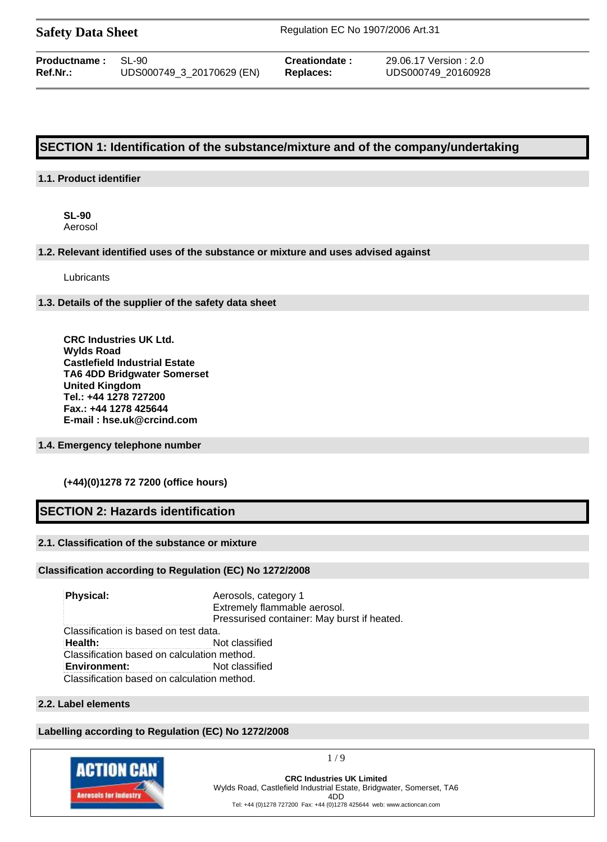| <b>Safety Data Sheet</b> |  |  |
|--------------------------|--|--|
|--------------------------|--|--|

**Safety Data Sheet** Regulation EC No 1907/2006 Art.31

| <b>Productname:</b> SL-90 |                           | Creationdate: | 29.06.17 Version : 2.0 |
|---------------------------|---------------------------|---------------|------------------------|
| Ref.Nr.:                  | UDS000749_3_20170629 (EN) | Replaces:     | UDS000749 20160928     |

# **SECTION 1: Identification of the substance/mixture and of the company/undertaking**

## **1.1. Product identifier**

**SL-90** Aerosol

## **1.2. Relevant identified uses of the substance or mixture and uses advised against**

**Lubricants** 

## **1.3. Details of the supplier of the safety data sheet**

**CRC Industries UK Ltd. Wylds Road Castlefield Industrial Estate TA6 4DD Bridgwater Somerset United Kingdom Tel.: +44 1278 727200 Fax.: +44 1278 425644 E-mail : hse.uk@crcind.com**

## **1.4. Emergency telephone number**

## **(+44)(0)1278 72 7200 (office hours)**

# **SECTION 2: Hazards identification**

## **2.1. Classification of the substance or mixture**

## **Classification according to Regulation (EC) No 1272/2008**

**Physical:** Aerosols, category 1 Extremely flammable aerosol. Pressurised container: May burst if heated. Classification is based on test data. **Health:** Not classified Classification based on calculation method. **Environment:** Not classified Classification based on calculation method.

# **2.2. Label elements**

## **Labelling according to Regulation (EC) No 1272/2008**



1 / 9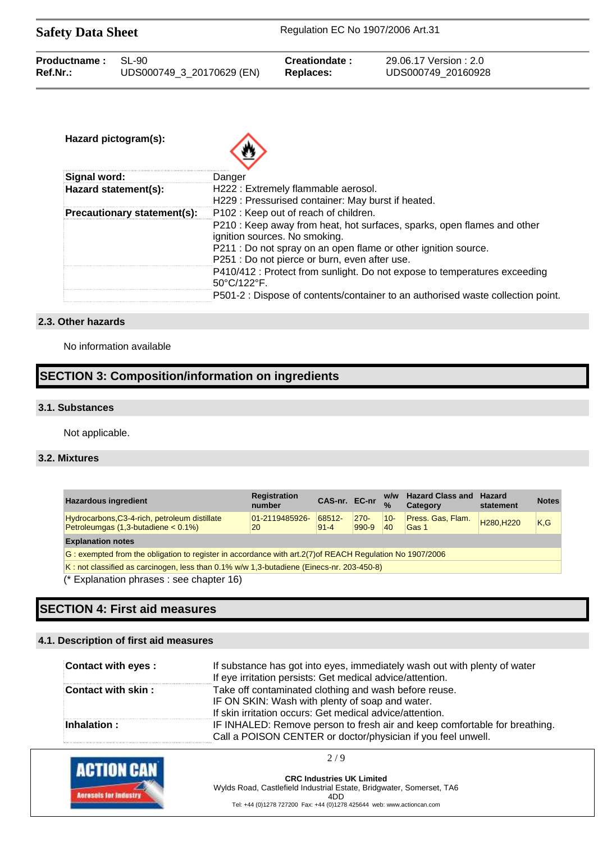| <b>Safety Data Sheet</b> |                           | Regulation EC No 1907/2006 Art.31 |                        |  |
|--------------------------|---------------------------|-----------------------------------|------------------------|--|
| Productname:             | SL-90                     | Creationdate:                     | 29.06.17 Version : 2.0 |  |
| $Ref.Nr.$ :              | UDS000749_3_20170629 (EN) | Replaces:                         | UDS000749 20160928     |  |

| Hazard pictogram(s):        |                                                                                                          |
|-----------------------------|----------------------------------------------------------------------------------------------------------|
| Signal word:                | Danger                                                                                                   |
| Hazard statement(s):        | H222 : Extremely flammable aerosol.                                                                      |
|                             | H229 : Pressurised container: May burst if heated.                                                       |
| Precautionary statement(s): | P102: Keep out of reach of children.                                                                     |
|                             | P210 : Keep away from heat, hot surfaces, sparks, open flames and other<br>ignition sources. No smoking. |
|                             | P211 : Do not spray on an open flame or other ignition source.                                           |
|                             | P251 : Do not pierce or burn, even after use.                                                            |
|                             | P410/412 : Protect from sunlight. Do not expose to temperatures exceeding                                |
|                             | 50°C/122°F.                                                                                              |
|                             | P501-2 : Dispose of contents/container to an authorised waste collection point.                          |

## **2.3. Other hazards**

No information available

# **SECTION 3: Composition/information on ingredients**

## **3.1. Substances**

Not applicable.

# **3.2. Mixtures**

| <b>Hazardous ingredient</b>                                                                               | <b>Registration</b><br>number | CAS-nr. EC-nr      |                    | W/W<br>$\%$  | <b>Hazard Class and</b><br>Category | <b>Hazard</b><br>statement         | <b>Notes</b> |
|-----------------------------------------------------------------------------------------------------------|-------------------------------|--------------------|--------------------|--------------|-------------------------------------|------------------------------------|--------------|
| Hydrocarbons, C3-4-rich, petroleum distillate<br>Petroleumgas $(1,3$ -butadiene $< 0.1\%$ )               | 01-2119485926-<br>20          | 68512-<br>$91 - 4$ | $270 -$<br>$990-9$ | $10 -$<br>40 | Press, Gas, Flam.<br><b>Gas 1</b>   | H <sub>280</sub> .H <sub>220</sub> | K.G          |
| <b>Explanation notes</b>                                                                                  |                               |                    |                    |              |                                     |                                    |              |
| G: exempted from the obligation to register in accordance with art. 2(7) of REACH Regulation No 1907/2006 |                               |                    |                    |              |                                     |                                    |              |
| $K$ : not classified as carcinogen, less than 0.1% w/w 1.3-butadiene (Einecs-nr. 203-450-8)               |                               |                    |                    |              |                                     |                                    |              |

(\* Explanation phrases : see chapter 16)

# **SECTION 4: First aid measures**

# **4.1. Description of first aid measures**

| Contact with eyes : | If substance has got into eyes, immediately wash out with plenty of water<br>If eye irritation persists: Get medical advice/attention.                               |
|---------------------|----------------------------------------------------------------------------------------------------------------------------------------------------------------------|
| Contact with skin:  | Take off contaminated clothing and wash before reuse.<br>IF ON SKIN: Wash with plenty of soap and water.<br>If skin irritation occurs: Get medical advice/attention. |
| Inhalation:         | IF INHALED: Remove person to fresh air and keep comfortable for breathing.<br>Call a POISON CENTER or doctor/physician if you feel unwell.                           |

2 / 9

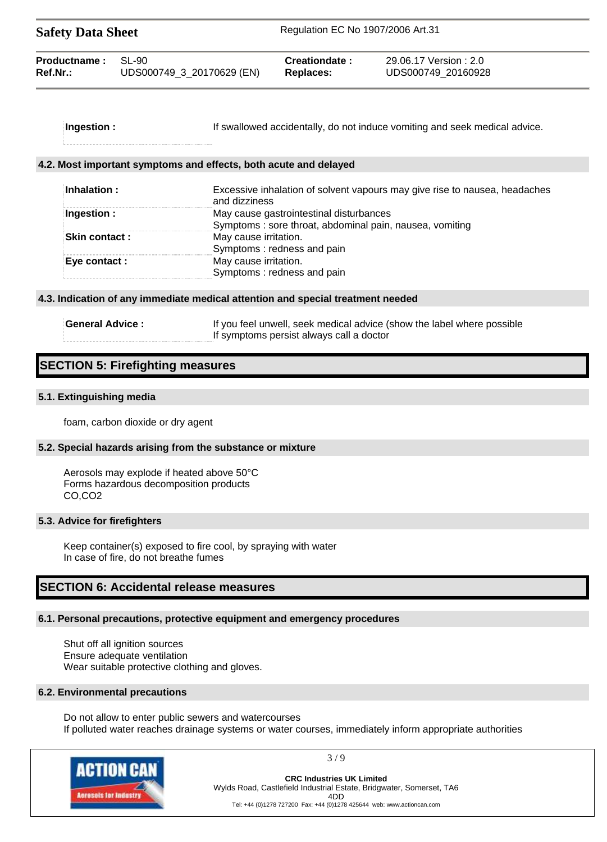| <b>Safety Data Sheet</b> |                           | Regulation EC No 1907/2006 Art.31 |                        |
|--------------------------|---------------------------|-----------------------------------|------------------------|
| Productname:             | $SI - 90$                 | Creationdate:                     | 29.06.17 Version : 2.0 |
| Ref.Nr.:                 | UDS000749_3_20170629 (EN) | Replaces:                         | UDS000749 20160928     |

| Ingestion : | If swallowed accidentally, do not induce vomiting and seek medical advice. |
|-------------|----------------------------------------------------------------------------|
|             |                                                                            |
|             |                                                                            |

#### **4.2. Most important symptoms and effects, both acute and delayed**

| Inhalation :         | Excessive inhalation of solvent vapours may give rise to nausea, headaches<br>and dizziness |
|----------------------|---------------------------------------------------------------------------------------------|
| Ingestion :          | May cause gastrointestinal disturbances                                                     |
|                      | Symptoms: sore throat, abdominal pain, nausea, vomiting                                     |
| <b>Skin contact:</b> | May cause irritation.                                                                       |
|                      | Symptoms: redness and pain                                                                  |
| Eye contact :        | May cause irritation.                                                                       |
|                      | Symptoms: redness and pain                                                                  |
|                      |                                                                                             |

#### **4.3. Indication of any immediate medical attention and special treatment needed**

**General Advice :** If you feel unwell, seek medical advice (show the label where possible If symptoms persist always call a doctor

# **SECTION 5: Firefighting measures**

### **5.1. Extinguishing media**

foam, carbon dioxide or dry agent

### **5.2. Special hazards arising from the substance or mixture**

Aerosols may explode if heated above 50°C Forms hazardous decomposition products CO,CO2

### **5.3. Advice for firefighters**

Keep container(s) exposed to fire cool, by spraying with water In case of fire, do not breathe fumes

# **SECTION 6: Accidental release measures**

### **6.1. Personal precautions, protective equipment and emergency procedures**

Shut off all ignition sources Ensure adequate ventilation Wear suitable protective clothing and gloves.

#### **6.2. Environmental precautions**

Do not allow to enter public sewers and watercourses If polluted water reaches drainage systems or water courses, immediately inform appropriate authorities



3 / 9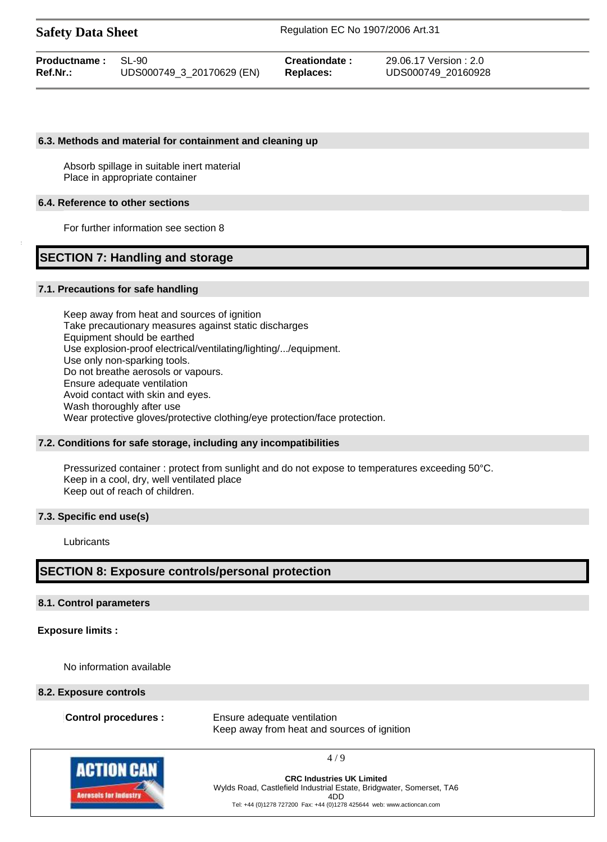| <b>Safety Data Sheet</b> |                           | Regulation EC No 1907/2006 Art.31 |                        |  |
|--------------------------|---------------------------|-----------------------------------|------------------------|--|
| Productname:             | $SI - 90$                 | Creationdate:                     | 29.06.17 Version : 2.0 |  |
| <b>Ref.Nr.:</b>          | UDS000749 3 20170629 (EN) | Replaces:                         | UDS000749 20160928     |  |

#### **6.3. Methods and material for containment and cleaning up**

Absorb spillage in suitable inert material Place in appropriate container

#### **6.4. Reference to other sections**

For further information see section 8

# **SECTION 7: Handling and storage**

#### **7.1. Precautions for safe handling**

Keep away from heat and sources of ignition Take precautionary measures against static discharges Equipment should be earthed Use explosion-proof electrical/ventilating/lighting/.../equipment. Use only non-sparking tools. Do not breathe aerosols or vapours. Ensure adequate ventilation Avoid contact with skin and eyes. Wash thoroughly after use Wear protective gloves/protective clothing/eye protection/face protection.

### **7.2. Conditions for safe storage, including any incompatibilities**

Pressurized container : protect from sunlight and do not expose to temperatures exceeding 50°C. Keep in a cool, dry, well ventilated place Keep out of reach of children.

### **7.3. Specific end use(s)**

**Lubricants** 

# **SECTION 8: Exposure controls/personal protection**

### **8.1. Control parameters**

### **Exposure limits :**

No information available

#### **8.2. Exposure controls**

**Control procedures :** Ensure adequate ventilation Keep away from heat and sources of ignition



**CRC Industries UK Limited** Wylds Road, Castlefield Industrial Estate, Bridgwater, Somerset, TA6 4DD Tel: +44 (0)1278 727200 Fax: +44 (0)1278 425644 web: www.actioncan.com

4 / 9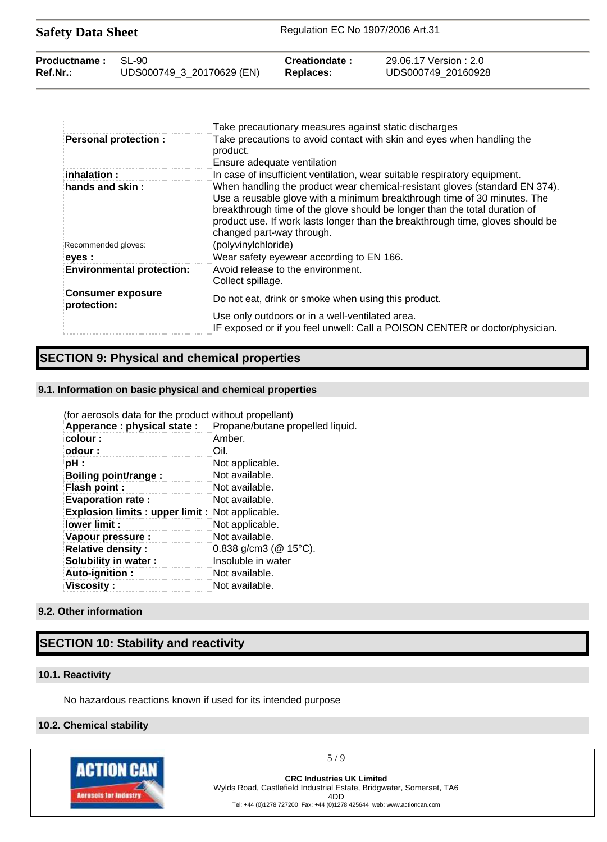| <b>Safety Data Sheet</b> |                           | Regulation EC No 1907/2006 Art.31 |                        |
|--------------------------|---------------------------|-----------------------------------|------------------------|
| Productname:             | SL-90                     | Creationdate:                     | 29.06.17 Version : 2.0 |
| Ref.Nr.:                 | UDS000749_3_20170629 (EN) | Replaces:                         | UDS000749 20160928     |

|                                         | Take precautionary measures against static discharges                                                                                                                                                                                                                                                                                                |
|-----------------------------------------|------------------------------------------------------------------------------------------------------------------------------------------------------------------------------------------------------------------------------------------------------------------------------------------------------------------------------------------------------|
| <b>Personal protection:</b>             | Take precautions to avoid contact with skin and eyes when handling the<br>product.<br>Ensure adequate ventilation                                                                                                                                                                                                                                    |
| : inhalation:                           | In case of insufficient ventilation, wear suitable respiratory equipment.                                                                                                                                                                                                                                                                            |
| hands and skin:                         | When handling the product wear chemical-resistant gloves (standard EN 374).<br>Use a reusable glove with a minimum breakthrough time of 30 minutes. The<br>breakthrough time of the glove should be longer than the total duration of<br>product use. If work lasts longer than the breakthrough time, gloves should be<br>changed part-way through. |
| Recommended gloves:                     | (polyvinylchloride)                                                                                                                                                                                                                                                                                                                                  |
| eyes :                                  | Wear safety eyewear according to EN 166.                                                                                                                                                                                                                                                                                                             |
| <b>Environmental protection:</b>        | Avoid release to the environment.<br>Collect spillage.                                                                                                                                                                                                                                                                                               |
| <b>Consumer exposure</b><br>protection: | Do not eat, drink or smoke when using this product.                                                                                                                                                                                                                                                                                                  |
|                                         | Use only outdoors or in a well-ventilated area.<br>IF exposed or if you feel unwell: Call a POISON CENTER or doctor/physician.                                                                                                                                                                                                                       |

# **SECTION 9: Physical and chemical properties**

# **9.1. Information on basic physical and chemical properties**

| (for aerosols data for the product without propellant) |                                  |
|--------------------------------------------------------|----------------------------------|
| Apperance : physical state :                           | Propane/butane propelled liquid. |
| colour:                                                | Amber.                           |
| odour:                                                 | Oil.                             |
| pH :                                                   | Not applicable.                  |
| <b>Boiling point/range:</b>                            | Not available.                   |
| <b>Flash point:</b>                                    | Not available.                   |
| <b>Evaporation rate:</b>                               | Not available.                   |
| <b>Explosion limits: upper limit:</b> Not applicable.  |                                  |
| lower limit :                                          | Not applicable.                  |
| Vapour pressure :                                      | Not available.                   |
| <b>Relative density:</b>                               | 0.838 g/cm3 ( $@$ 15°C).         |
| Solubility in water:                                   | Insoluble in water               |
| Auto-ignition:                                         | Not available.                   |
| Viscosity :                                            | Not available.                   |

# **9.2. Other information**

# **SECTION 10: Stability and reactivity**

## **10.1. Reactivity**

No hazardous reactions known if used for its intended purpose

# **10.2. Chemical stability**



5 / 9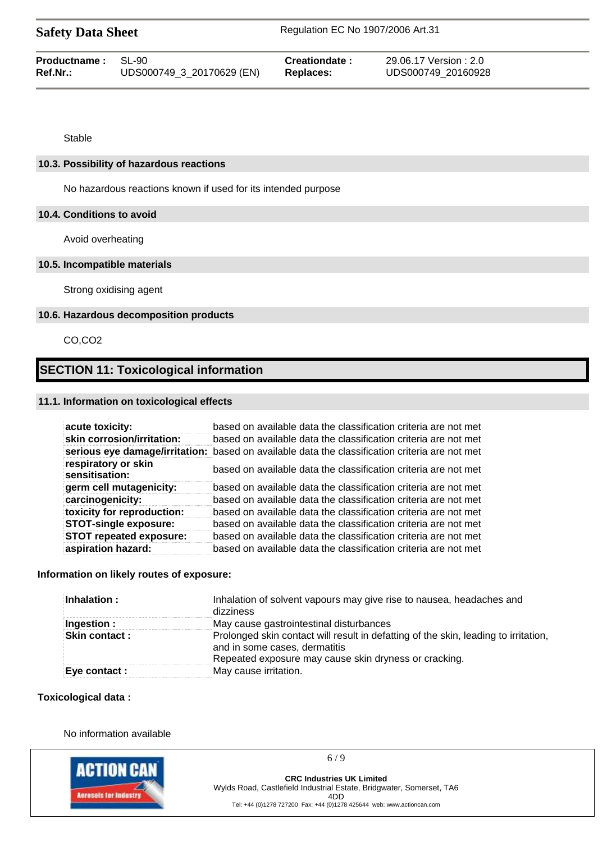|  | <b>Safety Data Sheet</b> |  |
|--|--------------------------|--|
|--|--------------------------|--|

| <b>Productname: SL-90</b> |                           | Creationdate: | 29.06.17 Version: 2.0 |
|---------------------------|---------------------------|---------------|-----------------------|
| Ref.Nr.:                  | UDS000749_3_20170629 (EN) | Replaces:     | UDS000749 20160928    |

Stable

## **10.3. Possibility of hazardous reactions**

No hazardous reactions known if used for its intended purpose

## **10.4. Conditions to avoid**

Avoid overheating

## **10.5. Incompatible materials**

Strong oxidising agent

## **10.6. Hazardous decomposition products**

CO,CO2

# **SECTION 11: Toxicological information**

## **11.1. Information on toxicological effects**

| acute toxicity:                       | based on available data the classification criteria are not met                                |
|---------------------------------------|------------------------------------------------------------------------------------------------|
| skin corrosion/irritation:            | based on available data the classification criteria are not met                                |
|                                       | serious eye damage/irritation: based on available data the classification criteria are not met |
| respiratory or skin<br>sensitisation: | based on available data the classification criteria are not met                                |
| germ cell mutagenicity:               | based on available data the classification criteria are not met                                |
| carcinogenicity:                      | based on available data the classification criteria are not met                                |
| toxicity for reproduction:            | based on available data the classification criteria are not met                                |
| <b>STOT-single exposure:</b>          | based on available data the classification criteria are not met                                |
| <b>STOT repeated exposure:</b>        | based on available data the classification criteria are not met                                |
| aspiration hazard:                    | based on available data the classification criteria are not met                                |

## **Information on likely routes of exposure:**

| Inhalation:          | Inhalation of solvent vapours may give rise to nausea, headaches and<br>dizziness                                                                                             |
|----------------------|-------------------------------------------------------------------------------------------------------------------------------------------------------------------------------|
| Ingestion :          | May cause gastrointestinal disturbances                                                                                                                                       |
| <b>Skin contact:</b> | Prolonged skin contact will result in defatting of the skin, leading to irritation,<br>and in some cases, dermatitis<br>Repeated exposure may cause skin dryness or cracking. |
| Eye contact :        | May cause irritation.                                                                                                                                                         |

## **Toxicological data :**

No information available



6 / 9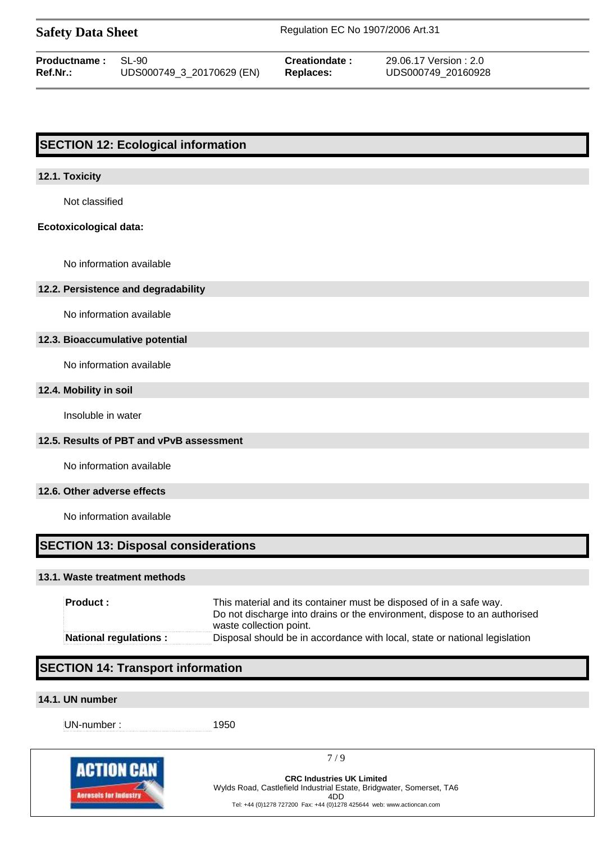| <b>Safety Data Sheet</b> |                           | Regulation EC No 1907/2006 Art.31 |                       |  |
|--------------------------|---------------------------|-----------------------------------|-----------------------|--|
| <b>Productname:</b>      | -SI -90                   | Creationdate:                     | 29.06.17 Version: 2.0 |  |
| Ref.Nr.:                 | UDS000749_3_20170629 (EN) | Replaces:                         | UDS000749 20160928    |  |

# **SECTION 12: Ecological information**

### **12.1. Toxicity**

Not classified

## **Ecotoxicological data:**

No information available

#### **12.2. Persistence and degradability**

No information available

#### **12.3. Bioaccumulative potential**

No information available

## **12.4. Mobility in soil**

Insoluble in water

# **12.5. Results of PBT and vPvB assessment**

No information available

## **12.6. Other adverse effects**

No information available

# **SECTION 13: Disposal considerations**

#### **13.1. Waste treatment methods**

| Product :                    | This material and its container must be disposed of in a safe way.<br>Do not discharge into drains or the environment, dispose to an authorised<br>waste collection point. |
|------------------------------|----------------------------------------------------------------------------------------------------------------------------------------------------------------------------|
| <b>National regulations:</b> | Disposal should be in accordance with local, state or national legislation                                                                                                 |

# **SECTION 14: Transport information**

## **14.1. UN number**

UN-number : 1950

7 / 9

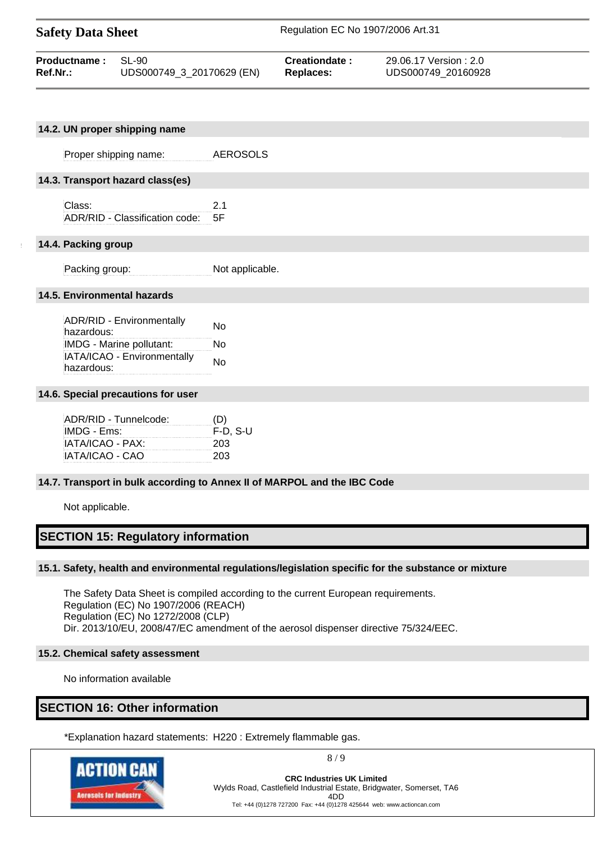| <b>Safety Data Sheet</b> |                           | Regulation EC No 1907/2006 Art.31 |                        |
|--------------------------|---------------------------|-----------------------------------|------------------------|
| Productname:             | $SI - 90$                 | Creationdate:                     | 29.06.17 Version : 2.0 |
| Ref.Nr.:                 | UDS000749 3 20170629 (EN) | <b>Replaces:</b>                  | UDS000749 20160928     |

| 14.2. UN proper shipping name                                                                                    |                 |
|------------------------------------------------------------------------------------------------------------------|-----------------|
| Proper shipping name:                                                                                            | <b>AEROSOLS</b> |
| 14.3. Transport hazard class(es)                                                                                 |                 |
| Class:<br>ADR/RID - Classification code:                                                                         | 2.1<br>5F       |
| 14.4. Packing group                                                                                              |                 |
| Packing group:                                                                                                   | Not applicable. |
| 14.5. Environmental hazards                                                                                      |                 |
| ADR/RID - Environmentally<br>hazardous:<br>IMDG - Marine pollutant:<br>IATA/ICAO - Environmentally<br>hazardous: | No<br>No<br>No  |

### **14.6. Special precautions for user**

| ADR/RID - Tunnelcode: | (D)        |
|-----------------------|------------|
| IMDG - Ems:           | $F-D. S-U$ |
| IATA/ICAO - PAX:      | 203        |
| IATA/ICAO - CAO       | 203        |

### **14.7. Transport in bulk according to Annex II of MARPOL and the IBC Code**

Not applicable.

# **SECTION 15: Regulatory information**

## **15.1. Safety, health and environmental regulations/legislation specific for the substance or mixture**

The Safety Data Sheet is compiled according to the current European requirements. Regulation (EC) No 1907/2006 (REACH) Regulation (EC) No 1272/2008 (CLP) Dir. 2013/10/EU, 2008/47/EC amendment of the aerosol dispenser directive 75/324/EEC.

### **15.2. Chemical safety assessment**

No information available

# **SECTION 16: Other information**

\*Explanation hazard statements: H220 : Extremely flammable gas.

ACTION CAI **Acresols for Indus** 

8 / 9